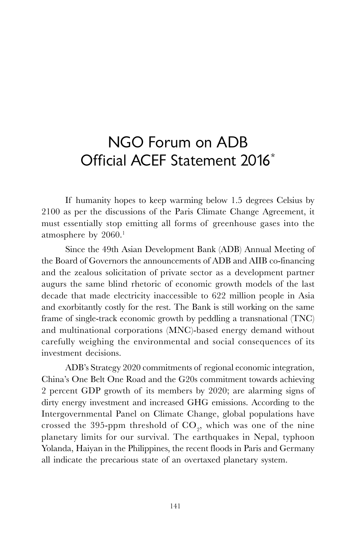## NGO Forum on ADB Official ACEF Statement 2016\*

If humanity hopes to keep warming below 1.5 degrees Celsius by 2100 as per the discussions of the Paris Climate Change Agreement, it must essentially stop emitting all forms of greenhouse gases into the atmosphere by  $2060.<sup>1</sup>$ 

Since the 49th Asian Development Bank (ADB) Annual Meeting of the Board of Governors the announcements of ADB and AIIB co-financing and the zealous solicitation of private sector as a development partner augurs the same blind rhetoric of economic growth models of the last decade that made electricity inaccessible to 622 million people in Asia and exorbitantly costly for the rest. The Bank is still working on the same frame of single-track economic growth by peddling a transnational (TNC) and multinational corporations (MNC)-based energy demand without carefully weighing the environmental and social consequences of its investment decisions.

ADB's Strategy 2020 commitments of regional economic integration, China's One Belt One Road and the G20s commitment towards achieving 2 percent GDP growth of its members by 2020; are alarming signs of dirty energy investment and increased GHG emissions. According to the Intergovernmental Panel on Climate Change, global populations have crossed the 395-ppm threshold of  $\mathrm{CO}_2^{}$ , which was one of the nine planetary limits for our survival. The earthquakes in Nepal, typhoon Yolanda, Haiyan in the Philippines, the recent floods in Paris and Germany all indicate the precarious state of an overtaxed planetary system.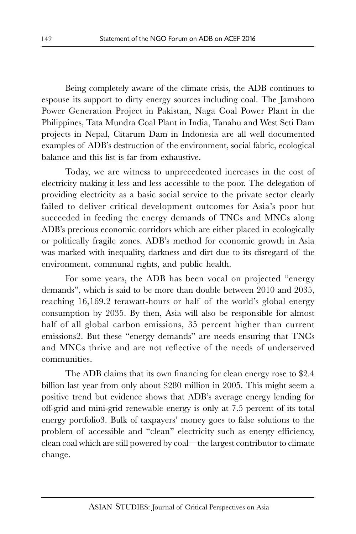Being completely aware of the climate crisis, the ADB continues to espouse its support to dirty energy sources including coal. The Jamshoro Power Generation Project in Pakistan, Naga Coal Power Plant in the Philippines, Tata Mundra Coal Plant in India, Tanahu and West Seti Dam projects in Nepal, Citarum Dam in Indonesia are all well documented examples of ADB's destruction of the environment, social fabric, ecological balance and this list is far from exhaustive.

Today, we are witness to unprecedented increases in the cost of electricity making it less and less accessible to the poor. The delegation of providing electricity as a basic social service to the private sector clearly failed to deliver critical development outcomes for Asia's poor but succeeded in feeding the energy demands of TNCs and MNCs along ADB's precious economic corridors which are either placed in ecologically or politically fragile zones. ADB's method for economic growth in Asia was marked with inequality, darkness and dirt due to its disregard of the environment, communal rights, and public health.

For some years, the ADB has been vocal on projected "energy demands", which is said to be more than double between 2010 and 2035, reaching 16,169.2 terawatt-hours or half of the world's global energy consumption by 2035. By then, Asia will also be responsible for almost half of all global carbon emissions, 35 percent higher than current emissions2. But these "energy demands" are needs ensuring that TNCs and MNCs thrive and are not reflective of the needs of underserved communities.

The ADB claims that its own financing for clean energy rose to \$2.4 billion last year from only about \$280 million in 2005. This might seem a positive trend but evidence shows that ADB's average energy lending for off-grid and mini-grid renewable energy is only at 7.5 percent of its total energy portfolio3. Bulk of taxpayers' money goes to false solutions to the problem of accessible and "clean" electricity such as energy efficiency, clean coal which are still powered by coal—the largest contributor to climate change.